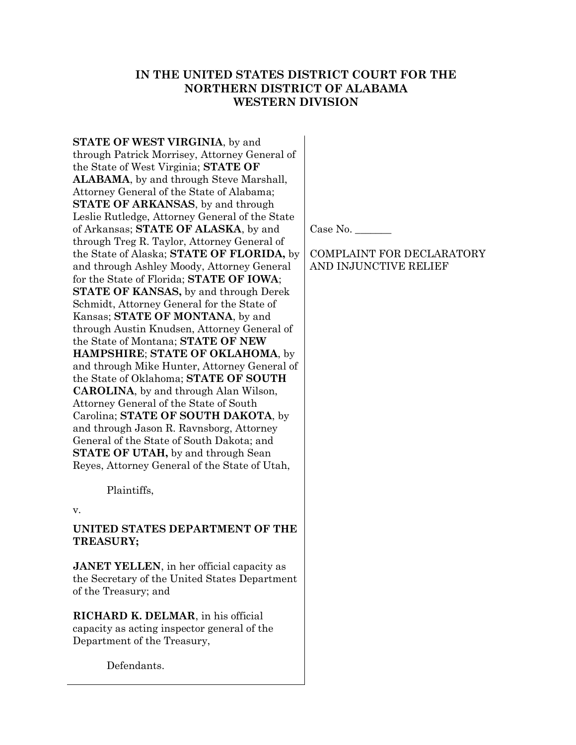# IN THE UNITED STATES DISTRICT COURT FOR THE NORTHERN DISTRICT OF ALABAMA WESTERN DIVISION

STATE OF WEST VIRGINIA, by and through Patrick Morrisey, Attorney General of the State of West Virginia; STATE OF ALABAMA, by and through Steve Marshall, Attorney General of the State of Alabama; STATE OF ARKANSAS, by and through Leslie Rutledge, Attorney General of the State of Arkansas; STATE OF ALASKA, by and through Treg R. Taylor, Attorney General of the State of Alaska; STATE OF FLORIDA, by and through Ashley Moody, Attorney General for the State of Florida; STATE OF IOWA; STATE OF KANSAS, by and through Derek Schmidt, Attorney General for the State of Kansas; STATE OF MONTANA, by and through Austin Knudsen, Attorney General of the State of Montana; STATE OF NEW HAMPSHIRE; STATE OF OKLAHOMA, by and through Mike Hunter, Attorney General of the State of Oklahoma; STATE OF SOUTH CAROLINA, by and through Alan Wilson, Attorney General of the State of South Carolina; STATE OF SOUTH DAKOTA, by and through Jason R. Ravnsborg, Attorney General of the State of South Dakota; and **STATE OF UTAH,** by and through Sean Reyes, Attorney General of the State of Utah,

Plaintiffs,

v.

### UNITED STATES DEPARTMENT OF THE TREASURY;

**JANET YELLEN**, in her official capacity as the Secretary of the United States Department of the Treasury; and

RICHARD K. DELMAR, in his official capacity as acting inspector general of the Department of the Treasury,

Defendants.

Case No.

## COMPLAINT FOR DECLARATORY AND INJUNCTIVE RELIEF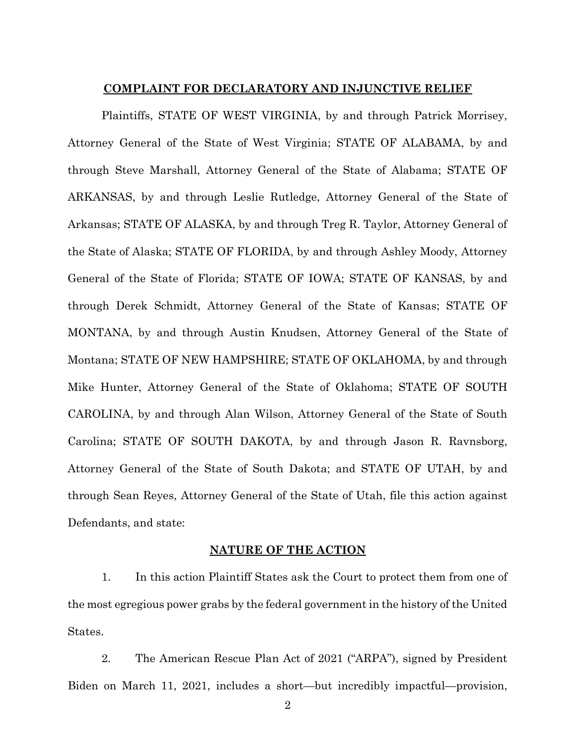#### COMPLAINT FOR DECLARATORY AND INJUNCTIVE RELIEF

Plaintiffs, STATE OF WEST VIRGINIA, by and through Patrick Morrisey, Attorney General of the State of West Virginia; STATE OF ALABAMA, by and through Steve Marshall, Attorney General of the State of Alabama; STATE OF ARKANSAS, by and through Leslie Rutledge, Attorney General of the State of Arkansas; STATE OF ALASKA, by and through Treg R. Taylor, Attorney General of the State of Alaska; STATE OF FLORIDA, by and through Ashley Moody, Attorney General of the State of Florida; STATE OF IOWA; STATE OF KANSAS, by and through Derek Schmidt, Attorney General of the State of Kansas; STATE OF MONTANA, by and through Austin Knudsen, Attorney General of the State of Montana; STATE OF NEW HAMPSHIRE; STATE OF OKLAHOMA, by and through Mike Hunter, Attorney General of the State of Oklahoma; STATE OF SOUTH CAROLINA, by and through Alan Wilson, Attorney General of the State of South Carolina; STATE OF SOUTH DAKOTA, by and through Jason R. Ravnsborg, Attorney General of the State of South Dakota; and STATE OF UTAH, by and through Sean Reyes, Attorney General of the State of Utah, file this action against Defendants, and state:

#### NATURE OF THE ACTION

1. In this action Plaintiff States ask the Court to protect them from one of the most egregious power grabs by the federal government in the history of the United States.

2. The American Rescue Plan Act of 2021 ("ARPA"), signed by President Biden on March 11, 2021, includes a short—but incredibly impactful—provision,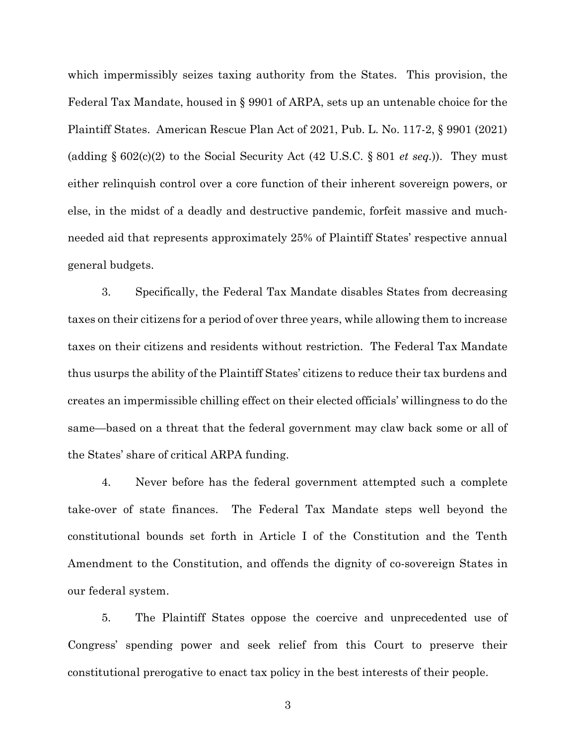which impermissibly seizes taxing authority from the States. This provision, the Federal Tax Mandate, housed in § 9901 of ARPA, sets up an untenable choice for the Plaintiff States. American Rescue Plan Act of 2021, Pub. L. No. 117-2, § 9901 (2021) (adding  $\S 602(c)(2)$  to the Social Security Act (42 U.S.C.  $\S 801$  *et seq.*)). They must either relinquish control over a core function of their inherent sovereign powers, or else, in the midst of a deadly and destructive pandemic, forfeit massive and muchneeded aid that represents approximately 25% of Plaintiff States' respective annual general budgets.

3. Specifically, the Federal Tax Mandate disables States from decreasing taxes on their citizens for a period of over three years, while allowing them to increase taxes on their citizens and residents without restriction. The Federal Tax Mandate thus usurps the ability of the Plaintiff States' citizens to reduce their tax burdens and creates an impermissible chilling effect on their elected officials' willingness to do the same—based on a threat that the federal government may claw back some or all of the States' share of critical ARPA funding.

4. Never before has the federal government attempted such a complete take-over of state finances. The Federal Tax Mandate steps well beyond the constitutional bounds set forth in Article I of the Constitution and the Tenth Amendment to the Constitution, and offends the dignity of co-sovereign States in our federal system.

5. The Plaintiff States oppose the coercive and unprecedented use of Congress' spending power and seek relief from this Court to preserve their constitutional prerogative to enact tax policy in the best interests of their people.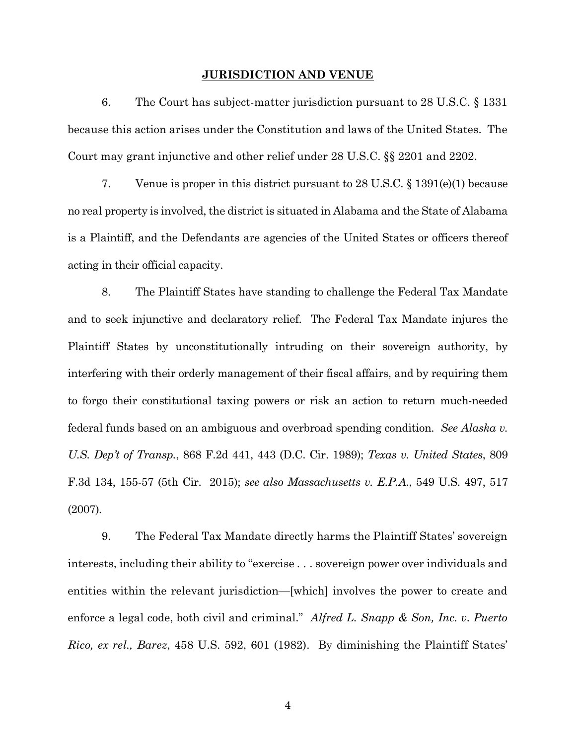#### JURISDICTION AND VENUE

6. The Court has subject-matter jurisdiction pursuant to 28 U.S.C. § 1331 because this action arises under the Constitution and laws of the United States. The Court may grant injunctive and other relief under 28 U.S.C. §§ 2201 and 2202.

7. Venue is proper in this district pursuant to  $28 \text{ U.S.C.} \$  §  $1391(e)(1)$  because no real property is involved, the district is situated in Alabama and the State of Alabama is a Plaintiff, and the Defendants are agencies of the United States or officers thereof acting in their official capacity.

8. The Plaintiff States have standing to challenge the Federal Tax Mandate and to seek injunctive and declaratory relief. The Federal Tax Mandate injures the Plaintiff States by unconstitutionally intruding on their sovereign authority, by interfering with their orderly management of their fiscal affairs, and by requiring them to forgo their constitutional taxing powers or risk an action to return much-needed federal funds based on an ambiguous and overbroad spending condition. See Alaska v. U.S. Dep't of Transp., 868 F.2d 441, 443 (D.C. Cir. 1989); Texas v. United States, 809 F.3d 134, 155-57 (5th Cir. 2015); see also Massachusetts v. E.P.A., 549 U.S. 497, 517 (2007).

9. The Federal Tax Mandate directly harms the Plaintiff States' sovereign interests, including their ability to "exercise . . . sovereign power over individuals and entities within the relevant jurisdiction—[which] involves the power to create and enforce a legal code, both civil and criminal." Alfred L. Snapp  $\&$  Son, Inc. v. Puerto Rico, ex rel., Barez, 458 U.S. 592, 601 (1982). By diminishing the Plaintiff States'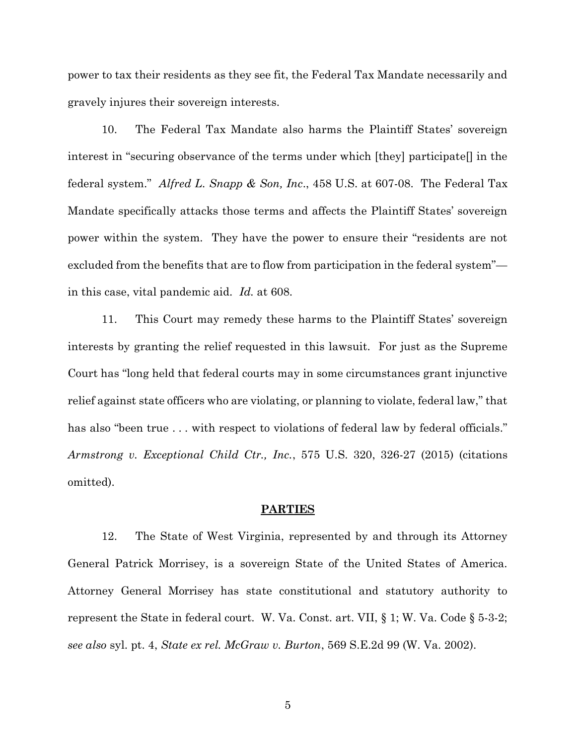power to tax their residents as they see fit, the Federal Tax Mandate necessarily and gravely injures their sovereign interests.

10. The Federal Tax Mandate also harms the Plaintiff States' sovereign interest in "securing observance of the terms under which [they] participate[] in the federal system." Alfred L. Snapp & Son, Inc., 458 U.S. at 607-08. The Federal Tax Mandate specifically attacks those terms and affects the Plaintiff States' sovereign power within the system. They have the power to ensure their "residents are not excluded from the benefits that are to flow from participation in the federal system" in this case, vital pandemic aid. Id. at 608.

11. This Court may remedy these harms to the Plaintiff States' sovereign interests by granting the relief requested in this lawsuit. For just as the Supreme Court has "long held that federal courts may in some circumstances grant injunctive relief against state officers who are violating, or planning to violate, federal law," that has also "been true ... with respect to violations of federal law by federal officials." Armstrong v. Exceptional Child Ctr., Inc., 575 U.S. 320, 326-27 (2015) (citations omitted).

#### PARTIES

12. The State of West Virginia, represented by and through its Attorney General Patrick Morrisey, is a sovereign State of the United States of America. Attorney General Morrisey has state constitutional and statutory authority to represent the State in federal court. W. Va. Const. art. VII, § 1; W. Va. Code § 5-3-2; see also syl. pt. 4, State ex rel. McGraw v. Burton, 569 S.E.2d 99 (W. Va. 2002).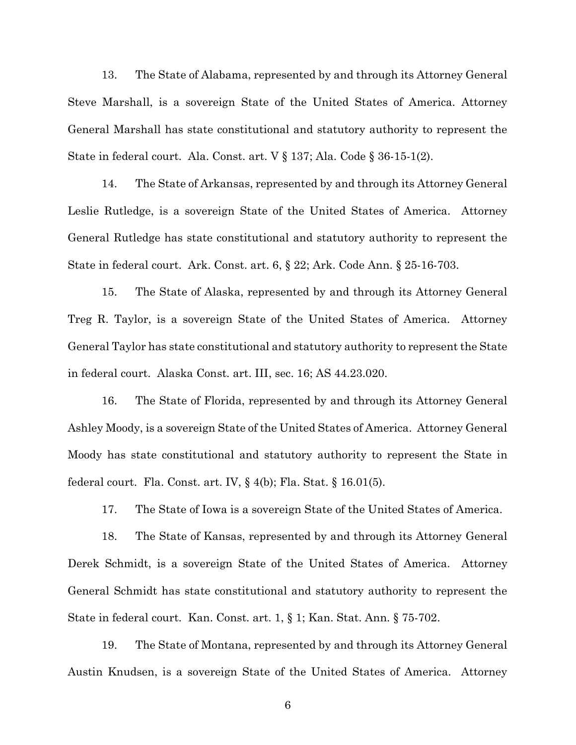13. The State of Alabama, represented by and through its Attorney General Steve Marshall, is a sovereign State of the United States of America. Attorney General Marshall has state constitutional and statutory authority to represent the State in federal court. Ala. Const. art. V § 137; Ala. Code § 36-15-1(2).

14. The State of Arkansas, represented by and through its Attorney General Leslie Rutledge, is a sovereign State of the United States of America. Attorney General Rutledge has state constitutional and statutory authority to represent the State in federal court. Ark. Const. art. 6, § 22; Ark. Code Ann. § 25-16-703.

15. The State of Alaska, represented by and through its Attorney General Treg R. Taylor, is a sovereign State of the United States of America. Attorney General Taylor has state constitutional and statutory authority to represent the State in federal court. Alaska Const. art. III, sec. 16; AS 44.23.020.

16. The State of Florida, represented by and through its Attorney General Ashley Moody, is a sovereign State of the United States of America. Attorney General Moody has state constitutional and statutory authority to represent the State in federal court. Fla. Const. art. IV,  $\S$  4(b); Fla. Stat.  $\S$  16.01(5).

17. The State of Iowa is a sovereign State of the United States of America.

18. The State of Kansas, represented by and through its Attorney General Derek Schmidt, is a sovereign State of the United States of America. Attorney General Schmidt has state constitutional and statutory authority to represent the State in federal court. Kan. Const. art. 1, § 1; Kan. Stat. Ann. § 75-702.

19. The State of Montana, represented by and through its Attorney General Austin Knudsen, is a sovereign State of the United States of America. Attorney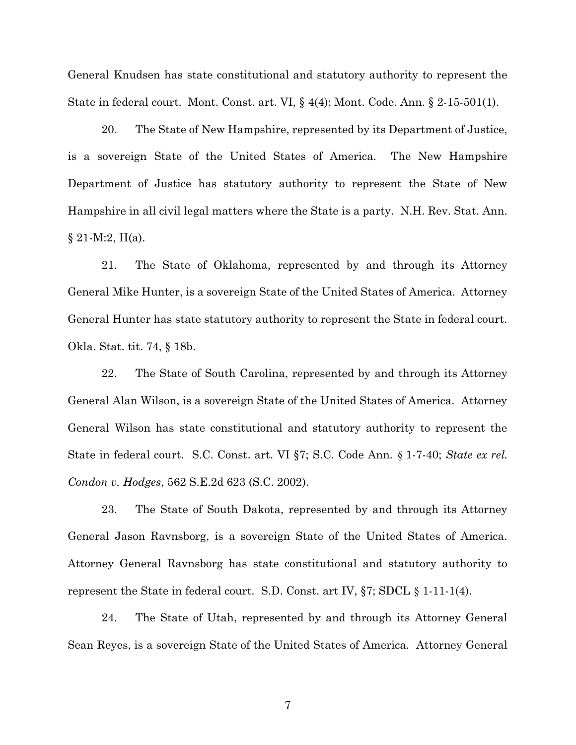General Knudsen has state constitutional and statutory authority to represent the State in federal court. Mont. Const. art. VI, § 4(4); Mont. Code. Ann. § 2-15-501(1).

20. The State of New Hampshire, represented by its Department of Justice, is a sovereign State of the United States of America. The New Hampshire Department of Justice has statutory authority to represent the State of New Hampshire in all civil legal matters where the State is a party. N.H. Rev. Stat. Ann.  $§ 21-M:2, II(a).$ 

21. The State of Oklahoma, represented by and through its Attorney General Mike Hunter, is a sovereign State of the United States of America. Attorney General Hunter has state statutory authority to represent the State in federal court. Okla. Stat. tit. 74, § 18b.

22. The State of South Carolina, represented by and through its Attorney General Alan Wilson, is a sovereign State of the United States of America. Attorney General Wilson has state constitutional and statutory authority to represent the State in federal court. S.C. Const. art. VI §7; S.C. Code Ann. § 1-7-40; State ex rel. Condon v. Hodges, 562 S.E.2d 623 (S.C. 2002).

23. The State of South Dakota, represented by and through its Attorney General Jason Ravnsborg, is a sovereign State of the United States of America. Attorney General Ravnsborg has state constitutional and statutory authority to represent the State in federal court. S.D. Const. art IV,  $\S$ 7; SDCL  $\S$  1-11-1(4).

24. The State of Utah, represented by and through its Attorney General Sean Reyes, is a sovereign State of the United States of America. Attorney General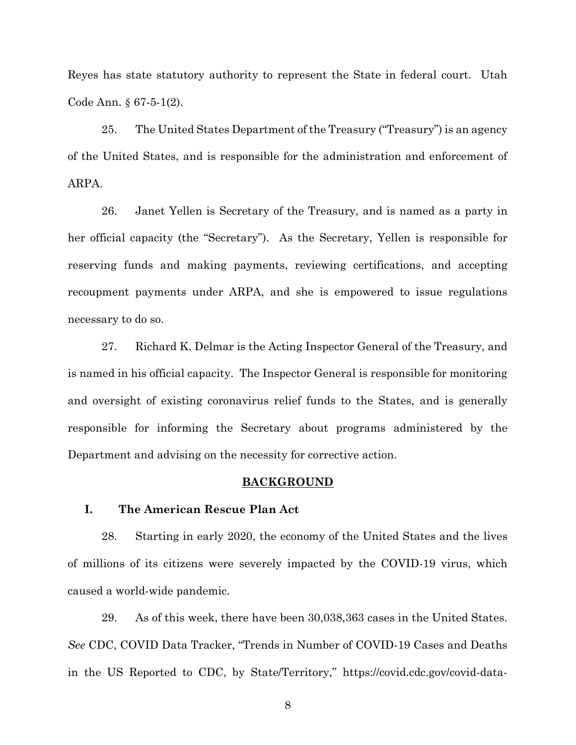Reyes has state statutory authority to represent the State in federal court. Utah Code Ann. § 67-5-1(2).

25. The United States Department of the Treasury ("Treasury") is an agency of the United States, and is responsible for the administration and enforcement of ARPA.

26. Janet Yellen is Secretary of the Treasury, and is named as a party in her official capacity (the "Secretary"). As the Secretary, Yellen is responsible for reserving funds and making payments, reviewing certifications, and accepting recoupment payments under ARPA, and she is empowered to issue regulations necessary to do so.

27. Richard K. Delmar is the Acting Inspector General of the Treasury, and is named in his official capacity. The Inspector General is responsible for monitoring and oversight of existing coronavirus relief funds to the States, and is generally responsible for informing the Secretary about programs administered by the Department and advising on the necessity for corrective action.

#### BACKGROUND

#### I. The American Rescue Plan Act

28. Starting in early 2020, the economy of the United States and the lives of millions of its citizens were severely impacted by the COVID-19 virus, which caused a world-wide pandemic.

29. As of this week, there have been 30,038,363 cases in the United States. See CDC, COVID Data Tracker, "Trends in Number of COVID-19 Cases and Deaths in the US Reported to CDC, by State/Territory," https://covid.cdc.gov/covid-data-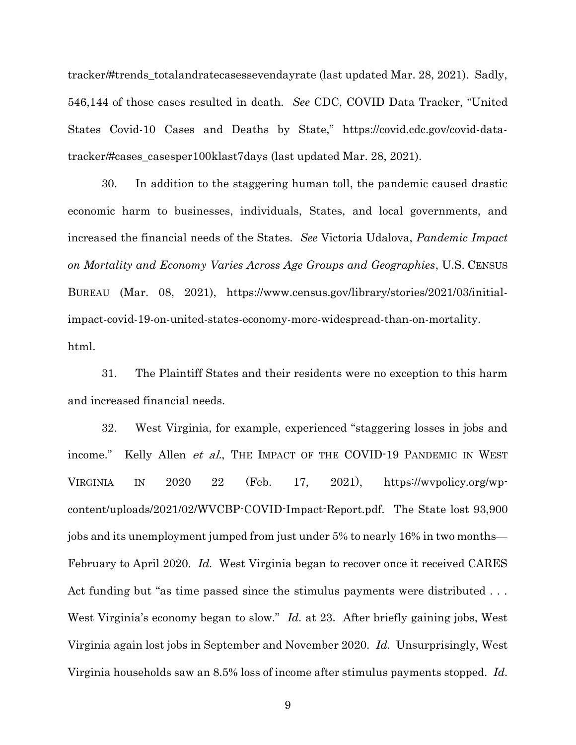tracker/#trends\_totalandratecasessevendayrate (last updated Mar. 28, 2021). Sadly, 546,144 of those cases resulted in death. See CDC, COVID Data Tracker, "United States Covid-10 Cases and Deaths by State," https://covid.cdc.gov/covid-datatracker/#cases\_casesper100klast7days (last updated Mar. 28, 2021).

30. In addition to the staggering human toll, the pandemic caused drastic economic harm to businesses, individuals, States, and local governments, and increased the financial needs of the States. See Victoria Udalova, Pandemic Impact on Mortality and Economy Varies Across Age Groups and Geographies, U.S. CENSUS BUREAU (Mar. 08, 2021), https://www.census.gov/library/stories/2021/03/initialimpact-covid-19-on-united-states-economy-more-widespread-than-on-mortality. html.

31. The Plaintiff States and their residents were no exception to this harm and increased financial needs.

32. West Virginia, for example, experienced "staggering losses in jobs and income." Kelly Allen *et al.*, THE IMPACT OF THE COVID-19 PANDEMIC IN WEST VIRGINIA IN 2020 22 (Feb. 17, 2021), https://wvpolicy.org/wpcontent/uploads/2021/02/WVCBP-COVID-Impact-Report.pdf. The State lost 93,900 jobs and its unemployment jumped from just under 5% to nearly 16% in two months— February to April 2020. Id. West Virginia began to recover once it received CARES Act funding but "as time passed since the stimulus payments were distributed ... West Virginia's economy began to slow." *Id.* at 23. After briefly gaining jobs, West Virginia again lost jobs in September and November 2020. Id. Unsurprisingly, West Virginia households saw an 8.5% loss of income after stimulus payments stopped. Id.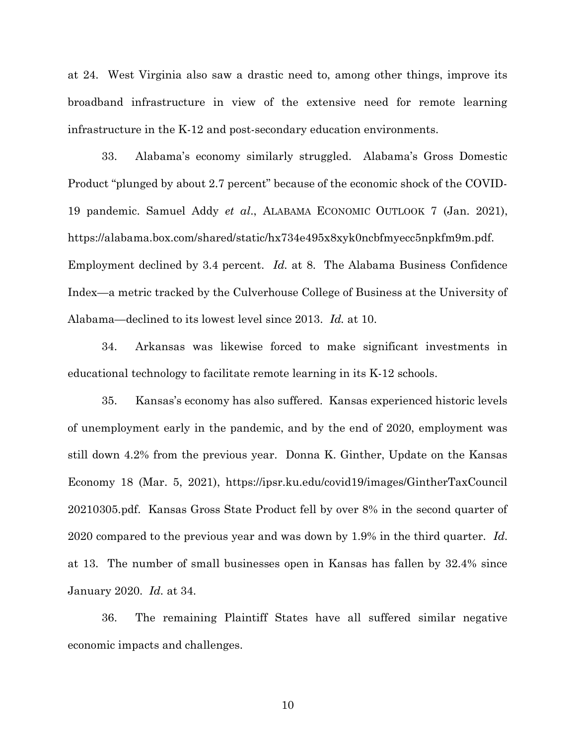at 24. West Virginia also saw a drastic need to, among other things, improve its broadband infrastructure in view of the extensive need for remote learning infrastructure in the K-12 and post-secondary education environments.

33. Alabama's economy similarly struggled. Alabama's Gross Domestic Product "plunged by about 2.7 percent" because of the economic shock of the COVID-19 pandemic. Samuel Addy et al., ALABAMA ECONOMIC OUTLOOK 7 (Jan. 2021), https://alabama.box.com/shared/static/hx734e495x8xyk0ncbfmyecc5npkfm9m.pdf. Employment declined by 3.4 percent. Id. at 8. The Alabama Business Confidence Index—a metric tracked by the Culverhouse College of Business at the University of Alabama—declined to its lowest level since 2013. Id. at 10.

34. Arkansas was likewise forced to make significant investments in educational technology to facilitate remote learning in its K-12 schools.

35. Kansas's economy has also suffered. Kansas experienced historic levels of unemployment early in the pandemic, and by the end of 2020, employment was still down 4.2% from the previous year. Donna K. Ginther, Update on the Kansas Economy 18 (Mar. 5, 2021), https://ipsr.ku.edu/covid19/images/GintherTaxCouncil 20210305.pdf. Kansas Gross State Product fell by over 8% in the second quarter of 2020 compared to the previous year and was down by 1.9% in the third quarter. Id. at 13. The number of small businesses open in Kansas has fallen by 32.4% since January 2020. Id. at 34.

36. The remaining Plaintiff States have all suffered similar negative economic impacts and challenges.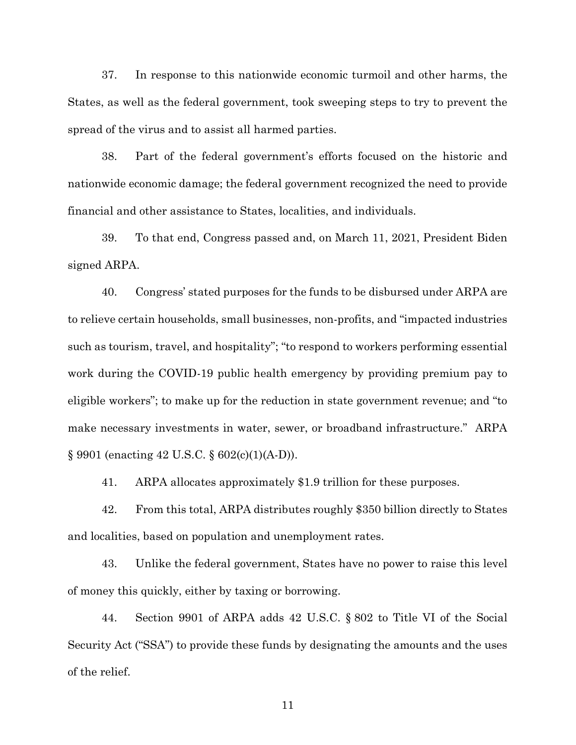37. In response to this nationwide economic turmoil and other harms, the States, as well as the federal government, took sweeping steps to try to prevent the spread of the virus and to assist all harmed parties.

38. Part of the federal government's efforts focused on the historic and nationwide economic damage; the federal government recognized the need to provide financial and other assistance to States, localities, and individuals.

39. To that end, Congress passed and, on March 11, 2021, President Biden signed ARPA.

40. Congress' stated purposes for the funds to be disbursed under ARPA are to relieve certain households, small businesses, non-profits, and "impacted industries such as tourism, travel, and hospitality"; "to respond to workers performing essential work during the COVID-19 public health emergency by providing premium pay to eligible workers"; to make up for the reduction in state government revenue; and "to make necessary investments in water, sewer, or broadband infrastructure." ARPA § 9901 (enacting 42 U.S.C. § 602(c)(1)(A-D)).

41. ARPA allocates approximately \$1.9 trillion for these purposes.

42. From this total, ARPA distributes roughly \$350 billion directly to States and localities, based on population and unemployment rates.

43. Unlike the federal government, States have no power to raise this level of money this quickly, either by taxing or borrowing.

44. Section 9901 of ARPA adds 42 U.S.C. § 802 to Title VI of the Social Security Act ("SSA") to provide these funds by designating the amounts and the uses of the relief.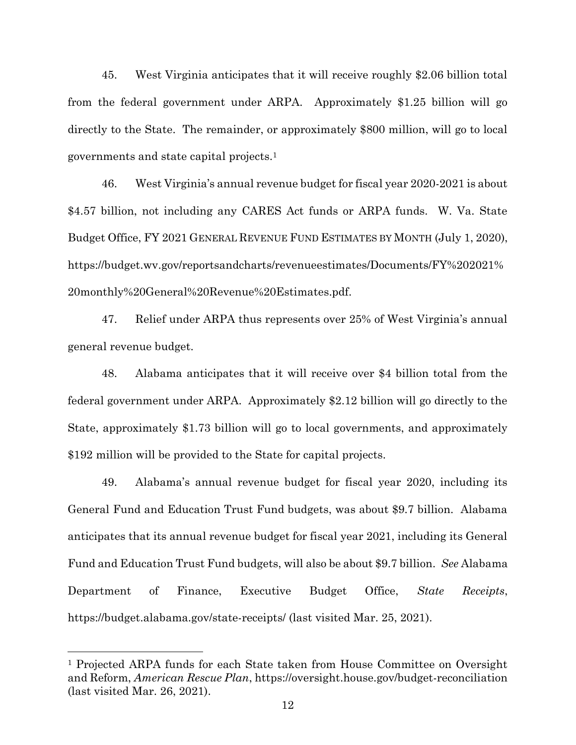45. West Virginia anticipates that it will receive roughly \$2.06 billion total from the federal government under ARPA. Approximately \$1.25 billion will go directly to the State. The remainder, or approximately \$800 million, will go to local governments and state capital projects.<sup>1</sup>

46. West Virginia's annual revenue budget for fiscal year 2020-2021 is about \$4.57 billion, not including any CARES Act funds or ARPA funds. W. Va. State Budget Office, FY 2021 GENERAL REVENUE FUND ESTIMATES BY MONTH (July 1, 2020), https://budget.wv.gov/reportsandcharts/revenueestimates/Documents/FY%202021% 20monthly%20General%20Revenue%20Estimates.pdf.

47. Relief under ARPA thus represents over 25% of West Virginia's annual general revenue budget.

48. Alabama anticipates that it will receive over \$4 billion total from the federal government under ARPA. Approximately \$2.12 billion will go directly to the State, approximately \$1.73 billion will go to local governments, and approximately \$192 million will be provided to the State for capital projects.

49. Alabama's annual revenue budget for fiscal year 2020, including its General Fund and Education Trust Fund budgets, was about \$9.7 billion. Alabama anticipates that its annual revenue budget for fiscal year 2021, including its General Fund and Education Trust Fund budgets, will also be about \$9.7 billion. See Alabama Department of Finance, Executive Budget Office, State Receipts, https://budget.alabama.gov/state-receipts/ (last visited Mar. 25, 2021).

<sup>1</sup> Projected ARPA funds for each State taken from House Committee on Oversight and Reform, American Rescue Plan, https://oversight.house.gov/budget-reconciliation (last visited Mar. 26, 2021).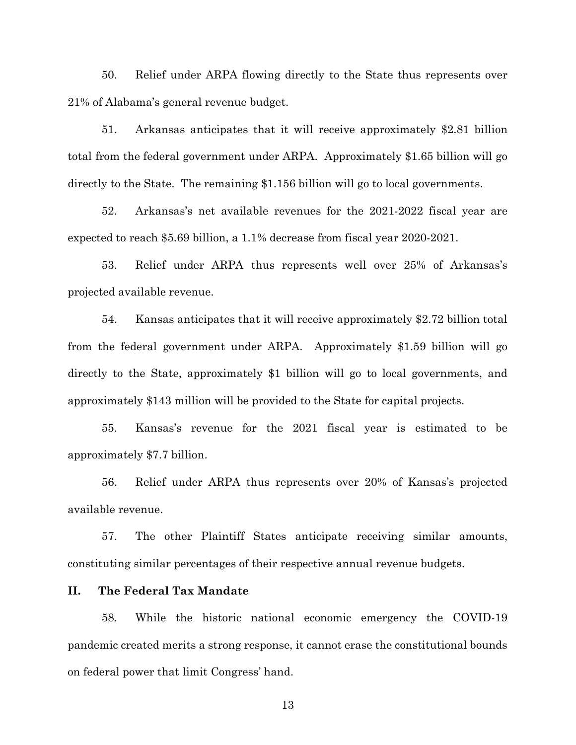50. Relief under ARPA flowing directly to the State thus represents over 21% of Alabama's general revenue budget.

51. Arkansas anticipates that it will receive approximately \$2.81 billion total from the federal government under ARPA. Approximately \$1.65 billion will go directly to the State. The remaining \$1.156 billion will go to local governments.

52. Arkansas's net available revenues for the 2021-2022 fiscal year are expected to reach \$5.69 billion, a 1.1% decrease from fiscal year 2020-2021.

53. Relief under ARPA thus represents well over 25% of Arkansas's projected available revenue.

54. Kansas anticipates that it will receive approximately \$2.72 billion total from the federal government under ARPA. Approximately \$1.59 billion will go directly to the State, approximately \$1 billion will go to local governments, and approximately \$143 million will be provided to the State for capital projects.

55. Kansas's revenue for the 2021 fiscal year is estimated to be approximately \$7.7 billion.

56. Relief under ARPA thus represents over 20% of Kansas's projected available revenue.

57. The other Plaintiff States anticipate receiving similar amounts, constituting similar percentages of their respective annual revenue budgets.

### II. The Federal Tax Mandate

58. While the historic national economic emergency the COVID-19 pandemic created merits a strong response, it cannot erase the constitutional bounds on federal power that limit Congress' hand.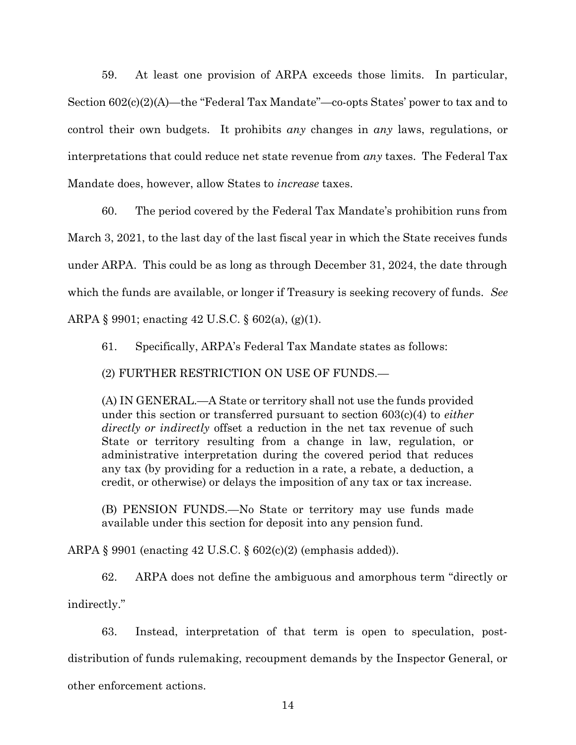59. At least one provision of ARPA exceeds those limits. In particular, Section 602(c)(2)(A)—the "Federal Tax Mandate"—co-opts States' power to tax and to control their own budgets. It prohibits any changes in any laws, regulations, or interpretations that could reduce net state revenue from any taxes. The Federal Tax Mandate does, however, allow States to *increase* taxes.

60. The period covered by the Federal Tax Mandate's prohibition runs from March 3, 2021, to the last day of the last fiscal year in which the State receives funds under ARPA. This could be as long as through December 31, 2024, the date through which the funds are available, or longer if Treasury is seeking recovery of funds. See ARPA § 9901; enacting 42 U.S.C. § 602(a), (g)(1).

61. Specifically, ARPA's Federal Tax Mandate states as follows:

(2) FURTHER RESTRICTION ON USE OF FUNDS.—

(A) IN GENERAL.—A State or territory shall not use the funds provided under this section or transferred pursuant to section 603(c)(4) to *either* directly or indirectly offset a reduction in the net tax revenue of such State or territory resulting from a change in law, regulation, or administrative interpretation during the covered period that reduces any tax (by providing for a reduction in a rate, a rebate, a deduction, a credit, or otherwise) or delays the imposition of any tax or tax increase.

(B) PENSION FUNDS.—No State or territory may use funds made available under this section for deposit into any pension fund.

ARPA § 9901 (enacting 42 U.S.C. § 602(c)(2) (emphasis added)).

62. ARPA does not define the ambiguous and amorphous term "directly or indirectly."

63. Instead, interpretation of that term is open to speculation, postdistribution of funds rulemaking, recoupment demands by the Inspector General, or other enforcement actions.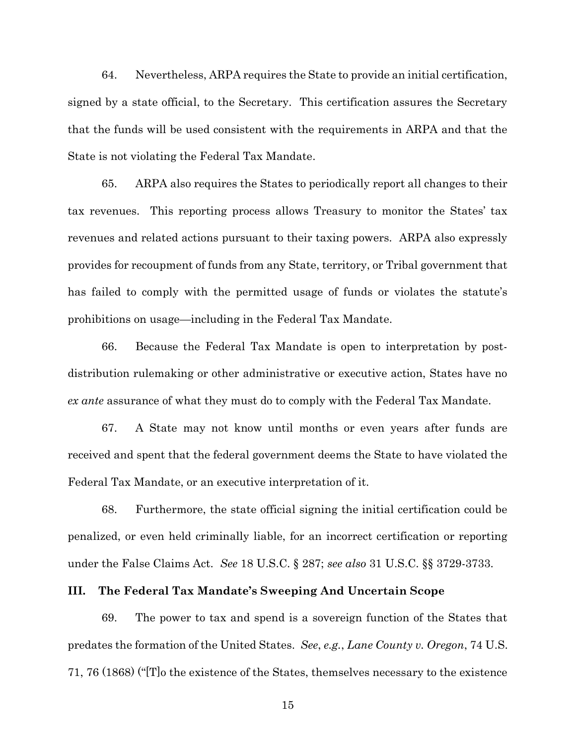64. Nevertheless, ARPA requires the State to provide an initial certification, signed by a state official, to the Secretary. This certification assures the Secretary that the funds will be used consistent with the requirements in ARPA and that the State is not violating the Federal Tax Mandate.

65. ARPA also requires the States to periodically report all changes to their tax revenues. This reporting process allows Treasury to monitor the States' tax revenues and related actions pursuant to their taxing powers. ARPA also expressly provides for recoupment of funds from any State, territory, or Tribal government that has failed to comply with the permitted usage of funds or violates the statute's prohibitions on usage—including in the Federal Tax Mandate.

66. Because the Federal Tax Mandate is open to interpretation by postdistribution rulemaking or other administrative or executive action, States have no ex ante assurance of what they must do to comply with the Federal Tax Mandate.

67. A State may not know until months or even years after funds are received and spent that the federal government deems the State to have violated the Federal Tax Mandate, or an executive interpretation of it.

68. Furthermore, the state official signing the initial certification could be penalized, or even held criminally liable, for an incorrect certification or reporting under the False Claims Act. See 18 U.S.C. § 287; see also 31 U.S.C. §§ 3729-3733.

#### III. The Federal Tax Mandate's Sweeping And Uncertain Scope

69. The power to tax and spend is a sovereign function of the States that predates the formation of the United States. See, e.g., Lane County v. Oregon, 74 U.S. 71, 76 (1868) ("[T]o the existence of the States, themselves necessary to the existence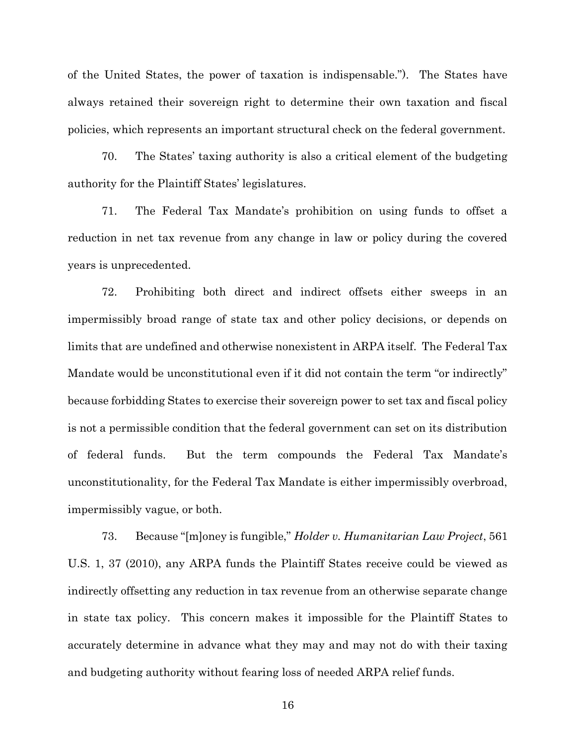of the United States, the power of taxation is indispensable."). The States have always retained their sovereign right to determine their own taxation and fiscal policies, which represents an important structural check on the federal government.

70. The States' taxing authority is also a critical element of the budgeting authority for the Plaintiff States' legislatures.

71. The Federal Tax Mandate's prohibition on using funds to offset a reduction in net tax revenue from any change in law or policy during the covered years is unprecedented.

72. Prohibiting both direct and indirect offsets either sweeps in an impermissibly broad range of state tax and other policy decisions, or depends on limits that are undefined and otherwise nonexistent in ARPA itself. The Federal Tax Mandate would be unconstitutional even if it did not contain the term "or indirectly" because forbidding States to exercise their sovereign power to set tax and fiscal policy is not a permissible condition that the federal government can set on its distribution of federal funds. But the term compounds the Federal Tax Mandate's unconstitutionality, for the Federal Tax Mandate is either impermissibly overbroad, impermissibly vague, or both.

73. Because "[m]oney is fungible," Holder v. Humanitarian Law Project, 561 U.S. 1, 37 (2010), any ARPA funds the Plaintiff States receive could be viewed as indirectly offsetting any reduction in tax revenue from an otherwise separate change in state tax policy. This concern makes it impossible for the Plaintiff States to accurately determine in advance what they may and may not do with their taxing and budgeting authority without fearing loss of needed ARPA relief funds.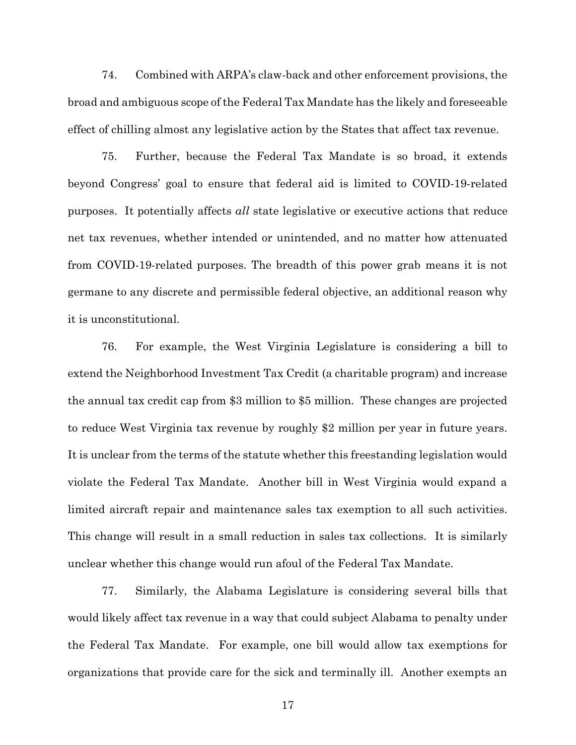74. Combined with ARPA's claw-back and other enforcement provisions, the broad and ambiguous scope of the Federal Tax Mandate has the likely and foreseeable effect of chilling almost any legislative action by the States that affect tax revenue.

75. Further, because the Federal Tax Mandate is so broad, it extends beyond Congress' goal to ensure that federal aid is limited to COVID-19-related purposes. It potentially affects *all* state legislative or executive actions that reduce net tax revenues, whether intended or unintended, and no matter how attenuated from COVID-19-related purposes. The breadth of this power grab means it is not germane to any discrete and permissible federal objective, an additional reason why it is unconstitutional.

76. For example, the West Virginia Legislature is considering a bill to extend the Neighborhood Investment Tax Credit (a charitable program) and increase the annual tax credit cap from \$3 million to \$5 million. These changes are projected to reduce West Virginia tax revenue by roughly \$2 million per year in future years. It is unclear from the terms of the statute whether this freestanding legislation would violate the Federal Tax Mandate. Another bill in West Virginia would expand a limited aircraft repair and maintenance sales tax exemption to all such activities. This change will result in a small reduction in sales tax collections. It is similarly unclear whether this change would run afoul of the Federal Tax Mandate.

77. Similarly, the Alabama Legislature is considering several bills that would likely affect tax revenue in a way that could subject Alabama to penalty under the Federal Tax Mandate. For example, one bill would allow tax exemptions for organizations that provide care for the sick and terminally ill. Another exempts an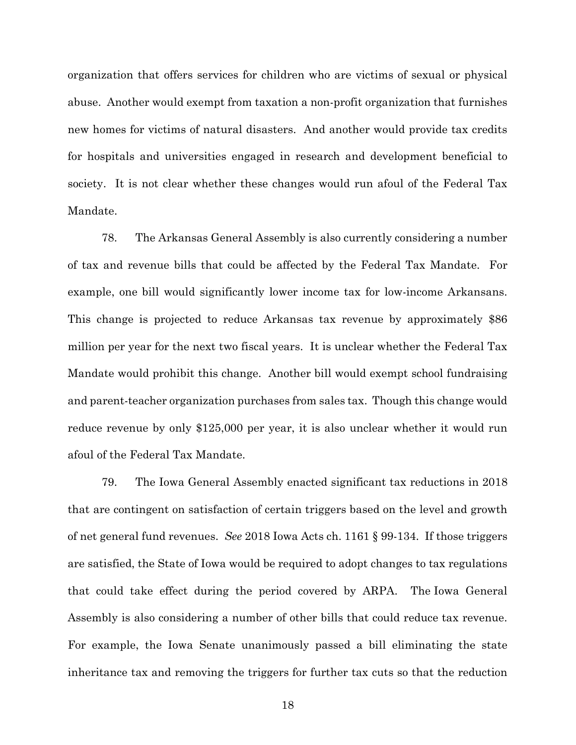organization that offers services for children who are victims of sexual or physical abuse. Another would exempt from taxation a non-profit organization that furnishes new homes for victims of natural disasters. And another would provide tax credits for hospitals and universities engaged in research and development beneficial to society. It is not clear whether these changes would run afoul of the Federal Tax Mandate.

78. The Arkansas General Assembly is also currently considering a number of tax and revenue bills that could be affected by the Federal Tax Mandate. For example, one bill would significantly lower income tax for low-income Arkansans. This change is projected to reduce Arkansas tax revenue by approximately \$86 million per year for the next two fiscal years. It is unclear whether the Federal Tax Mandate would prohibit this change. Another bill would exempt school fundraising and parent-teacher organization purchases from sales tax. Though this change would reduce revenue by only \$125,000 per year, it is also unclear whether it would run afoul of the Federal Tax Mandate.

79. The Iowa General Assembly enacted significant tax reductions in 2018 that are contingent on satisfaction of certain triggers based on the level and growth of net general fund revenues. See 2018 Iowa Acts ch. 1161 § 99-134. If those triggers are satisfied, the State of Iowa would be required to adopt changes to tax regulations that could take effect during the period covered by ARPA. The Iowa General Assembly is also considering a number of other bills that could reduce tax revenue. For example, the Iowa Senate unanimously passed a bill eliminating the state inheritance tax and removing the triggers for further tax cuts so that the reduction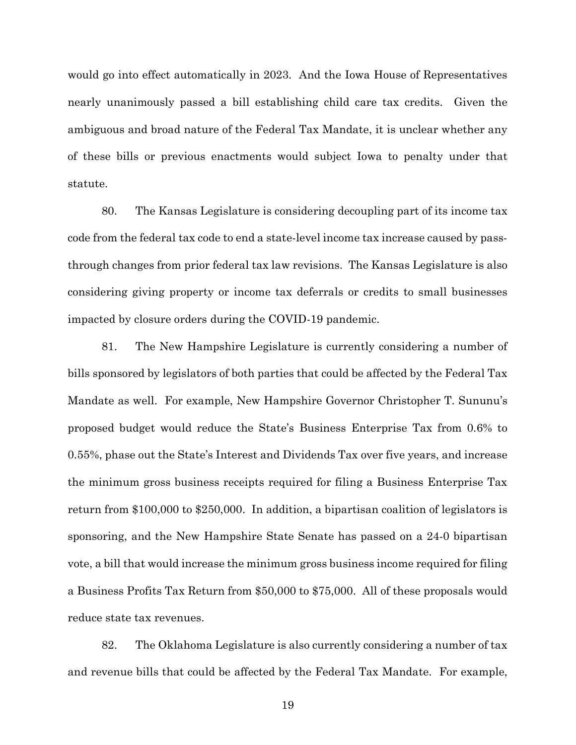would go into effect automatically in 2023. And the Iowa House of Representatives nearly unanimously passed a bill establishing child care tax credits. Given the ambiguous and broad nature of the Federal Tax Mandate, it is unclear whether any of these bills or previous enactments would subject Iowa to penalty under that statute.

80. The Kansas Legislature is considering decoupling part of its income tax code from the federal tax code to end a state-level income tax increase caused by passthrough changes from prior federal tax law revisions. The Kansas Legislature is also considering giving property or income tax deferrals or credits to small businesses impacted by closure orders during the COVID-19 pandemic.

81. The New Hampshire Legislature is currently considering a number of bills sponsored by legislators of both parties that could be affected by the Federal Tax Mandate as well. For example, New Hampshire Governor Christopher T. Sununu's proposed budget would reduce the State's Business Enterprise Tax from 0.6% to 0.55%, phase out the State's Interest and Dividends Tax over five years, and increase the minimum gross business receipts required for filing a Business Enterprise Tax return from \$100,000 to \$250,000. In addition, a bipartisan coalition of legislators is sponsoring, and the New Hampshire State Senate has passed on a 24-0 bipartisan vote, a bill that would increase the minimum gross business income required for filing a Business Profits Tax Return from \$50,000 to \$75,000. All of these proposals would reduce state tax revenues.

82. The Oklahoma Legislature is also currently considering a number of tax and revenue bills that could be affected by the Federal Tax Mandate. For example,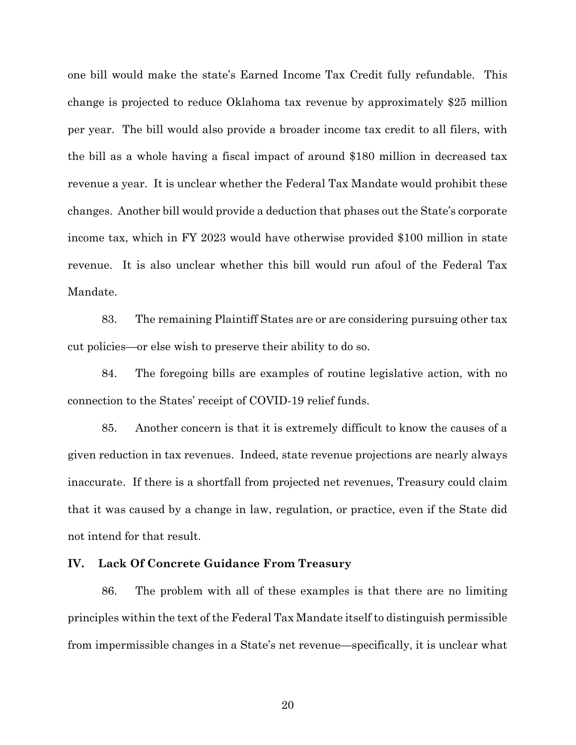one bill would make the state's Earned Income Tax Credit fully refundable. This change is projected to reduce Oklahoma tax revenue by approximately \$25 million per year. The bill would also provide a broader income tax credit to all filers, with the bill as a whole having a fiscal impact of around \$180 million in decreased tax revenue a year. It is unclear whether the Federal Tax Mandate would prohibit these changes. Another bill would provide a deduction that phases out the State's corporate income tax, which in FY 2023 would have otherwise provided \$100 million in state revenue. It is also unclear whether this bill would run afoul of the Federal Tax Mandate.

83. The remaining Plaintiff States are or are considering pursuing other tax cut policies—or else wish to preserve their ability to do so.

84. The foregoing bills are examples of routine legislative action, with no connection to the States' receipt of COVID-19 relief funds.

85. Another concern is that it is extremely difficult to know the causes of a given reduction in tax revenues. Indeed, state revenue projections are nearly always inaccurate. If there is a shortfall from projected net revenues, Treasury could claim that it was caused by a change in law, regulation, or practice, even if the State did not intend for that result.

### IV. Lack Of Concrete Guidance From Treasury

86. The problem with all of these examples is that there are no limiting principles within the text of the Federal Tax Mandate itself to distinguish permissible from impermissible changes in a State's net revenue—specifically, it is unclear what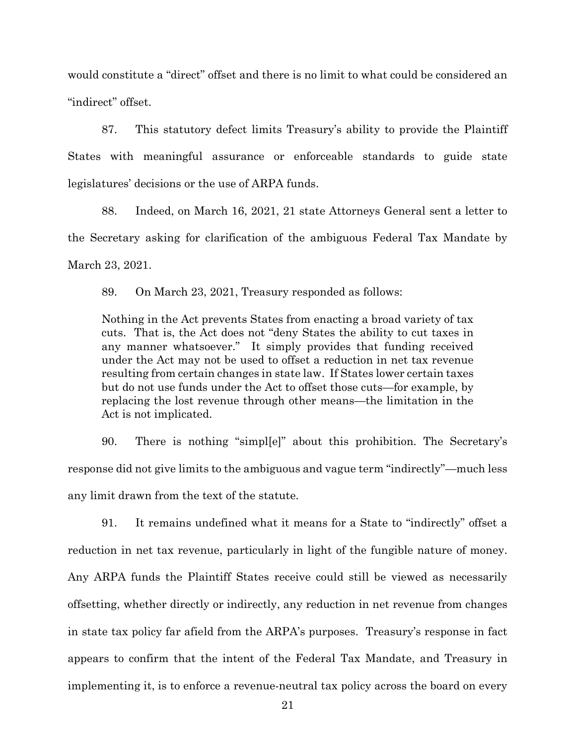would constitute a "direct" offset and there is no limit to what could be considered an "indirect" offset.

87. This statutory defect limits Treasury's ability to provide the Plaintiff States with meaningful assurance or enforceable standards to guide state legislatures' decisions or the use of ARPA funds.

88. Indeed, on March 16, 2021, 21 state Attorneys General sent a letter to the Secretary asking for clarification of the ambiguous Federal Tax Mandate by March 23, 2021.

89. On March 23, 2021, Treasury responded as follows:

Nothing in the Act prevents States from enacting a broad variety of tax cuts. That is, the Act does not "deny States the ability to cut taxes in any manner whatsoever." It simply provides that funding received under the Act may not be used to offset a reduction in net tax revenue resulting from certain changes in state law. If States lower certain taxes but do not use funds under the Act to offset those cuts—for example, by replacing the lost revenue through other means—the limitation in the Act is not implicated.

90. There is nothing "simpl[e]" about this prohibition. The Secretary's response did not give limits to the ambiguous and vague term "indirectly"—much less any limit drawn from the text of the statute.

91. It remains undefined what it means for a State to "indirectly" offset a reduction in net tax revenue, particularly in light of the fungible nature of money. Any ARPA funds the Plaintiff States receive could still be viewed as necessarily offsetting, whether directly or indirectly, any reduction in net revenue from changes in state tax policy far afield from the ARPA's purposes. Treasury's response in fact appears to confirm that the intent of the Federal Tax Mandate, and Treasury in implementing it, is to enforce a revenue-neutral tax policy across the board on every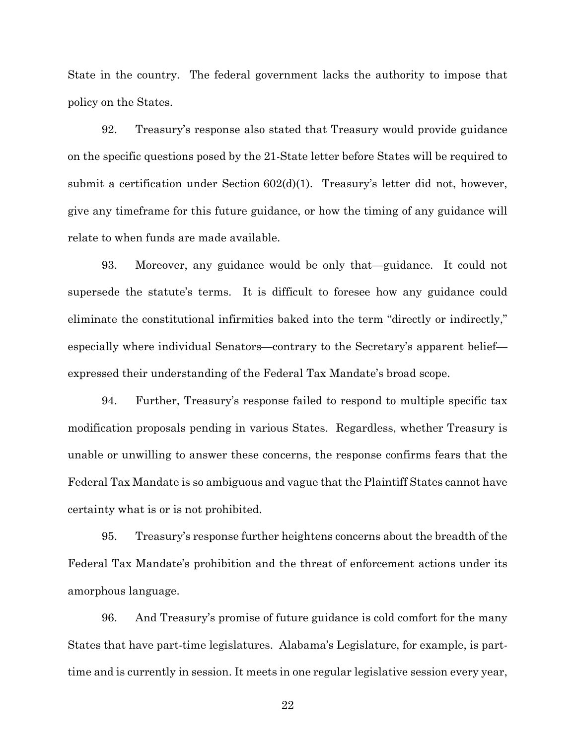State in the country. The federal government lacks the authority to impose that policy on the States.

92. Treasury's response also stated that Treasury would provide guidance on the specific questions posed by the 21-State letter before States will be required to submit a certification under Section 602(d)(1). Treasury's letter did not, however, give any timeframe for this future guidance, or how the timing of any guidance will relate to when funds are made available.

93. Moreover, any guidance would be only that—guidance. It could not supersede the statute's terms. It is difficult to foresee how any guidance could eliminate the constitutional infirmities baked into the term "directly or indirectly," especially where individual Senators—contrary to the Secretary's apparent belief expressed their understanding of the Federal Tax Mandate's broad scope.

94. Further, Treasury's response failed to respond to multiple specific tax modification proposals pending in various States. Regardless, whether Treasury is unable or unwilling to answer these concerns, the response confirms fears that the Federal Tax Mandate is so ambiguous and vague that the Plaintiff States cannot have certainty what is or is not prohibited.

95. Treasury's response further heightens concerns about the breadth of the Federal Tax Mandate's prohibition and the threat of enforcement actions under its amorphous language.

96. And Treasury's promise of future guidance is cold comfort for the many States that have part-time legislatures. Alabama's Legislature, for example, is parttime and is currently in session. It meets in one regular legislative session every year,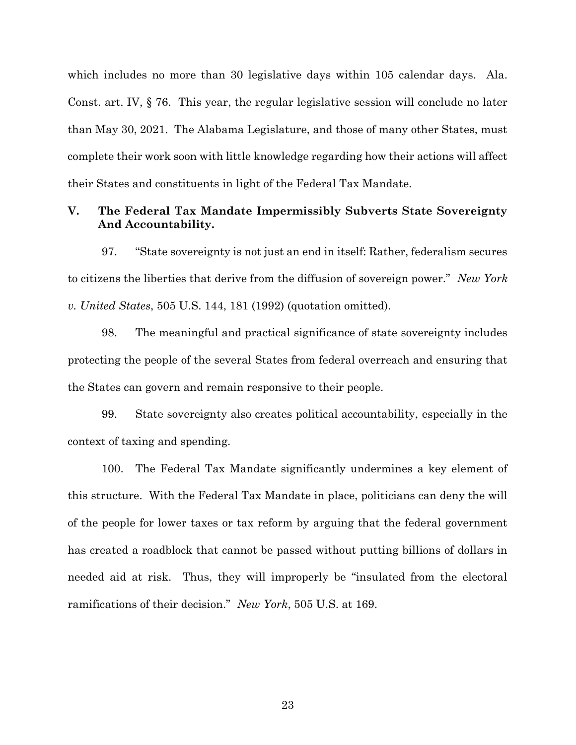which includes no more than 30 legislative days within 105 calendar days. Ala. Const. art. IV, § 76. This year, the regular legislative session will conclude no later than May 30, 2021. The Alabama Legislature, and those of many other States, must complete their work soon with little knowledge regarding how their actions will affect their States and constituents in light of the Federal Tax Mandate.

## V. The Federal Tax Mandate Impermissibly Subverts State Sovereignty And Accountability.

97. "State sovereignty is not just an end in itself: Rather, federalism secures to citizens the liberties that derive from the diffusion of sovereign power." New York v. United States, 505 U.S. 144, 181 (1992) (quotation omitted).

98. The meaningful and practical significance of state sovereignty includes protecting the people of the several States from federal overreach and ensuring that the States can govern and remain responsive to their people.

99. State sovereignty also creates political accountability, especially in the context of taxing and spending.

100. The Federal Tax Mandate significantly undermines a key element of this structure. With the Federal Tax Mandate in place, politicians can deny the will of the people for lower taxes or tax reform by arguing that the federal government has created a roadblock that cannot be passed without putting billions of dollars in needed aid at risk. Thus, they will improperly be "insulated from the electoral ramifications of their decision." New York, 505 U.S. at 169.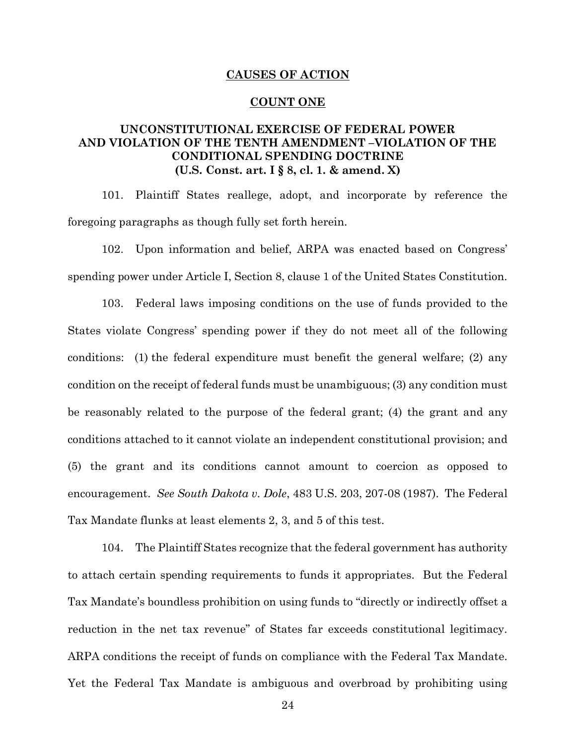#### CAUSES OF ACTION

#### COUNT ONE

# UNCONSTITUTIONAL EXERCISE OF FEDERAL POWER AND VIOLATION OF THE TENTH AMENDMENT –VIOLATION OF THE CONDITIONAL SPENDING DOCTRINE (U.S. Const. art. I § 8, cl. 1. & amend. X)

101. Plaintiff States reallege, adopt, and incorporate by reference the foregoing paragraphs as though fully set forth herein.

102. Upon information and belief, ARPA was enacted based on Congress' spending power under Article I, Section 8, clause 1 of the United States Constitution.

103. Federal laws imposing conditions on the use of funds provided to the States violate Congress' spending power if they do not meet all of the following conditions: (1) the federal expenditure must benefit the general welfare; (2) any condition on the receipt of federal funds must be unambiguous; (3) any condition must be reasonably related to the purpose of the federal grant; (4) the grant and any conditions attached to it cannot violate an independent constitutional provision; and (5) the grant and its conditions cannot amount to coercion as opposed to encouragement. See South Dakota v. Dole, 483 U.S. 203, 207-08 (1987). The Federal Tax Mandate flunks at least elements 2, 3, and 5 of this test.

104. The Plaintiff States recognize that the federal government has authority to attach certain spending requirements to funds it appropriates. But the Federal Tax Mandate's boundless prohibition on using funds to "directly or indirectly offset a reduction in the net tax revenue" of States far exceeds constitutional legitimacy. ARPA conditions the receipt of funds on compliance with the Federal Tax Mandate. Yet the Federal Tax Mandate is ambiguous and overbroad by prohibiting using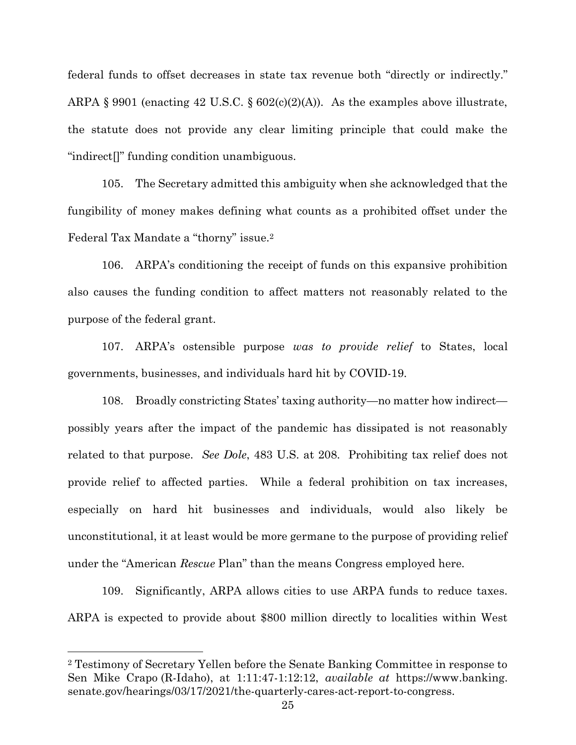federal funds to offset decreases in state tax revenue both "directly or indirectly." ARPA § 9901 (enacting 42 U.S.C. §  $602(c)(2)(A)$ ). As the examples above illustrate, the statute does not provide any clear limiting principle that could make the "indirect[]" funding condition unambiguous.

105. The Secretary admitted this ambiguity when she acknowledged that the fungibility of money makes defining what counts as a prohibited offset under the Federal Tax Mandate a "thorny" issue.<sup>2</sup>

106. ARPA's conditioning the receipt of funds on this expansive prohibition also causes the funding condition to affect matters not reasonably related to the purpose of the federal grant.

107. ARPA's ostensible purpose was to provide relief to States, local governments, businesses, and individuals hard hit by COVID-19.

108. Broadly constricting States' taxing authority—no matter how indirect possibly years after the impact of the pandemic has dissipated is not reasonably related to that purpose. See Dole, 483 U.S. at 208. Prohibiting tax relief does not provide relief to affected parties. While a federal prohibition on tax increases, especially on hard hit businesses and individuals, would also likely be unconstitutional, it at least would be more germane to the purpose of providing relief under the "American Rescue Plan" than the means Congress employed here.

109. Significantly, ARPA allows cities to use ARPA funds to reduce taxes. ARPA is expected to provide about \$800 million directly to localities within West

<sup>2</sup> Testimony of Secretary Yellen before the Senate Banking Committee in response to Sen Mike Crapo (R-Idaho), at 1:11:47-1:12:12, available at https://www.banking. senate.gov/hearings/03/17/2021/the-quarterly-cares-act-report-to-congress.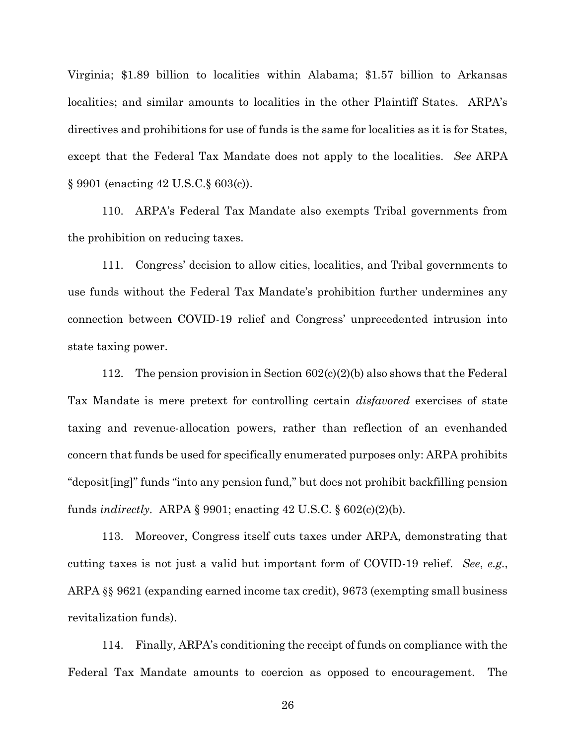Virginia; \$1.89 billion to localities within Alabama; \$1.57 billion to Arkansas localities; and similar amounts to localities in the other Plaintiff States. ARPA's directives and prohibitions for use of funds is the same for localities as it is for States, except that the Federal Tax Mandate does not apply to the localities. See ARPA § 9901 (enacting 42 U.S.C.§ 603(c)).

110. ARPA's Federal Tax Mandate also exempts Tribal governments from the prohibition on reducing taxes.

111. Congress' decision to allow cities, localities, and Tribal governments to use funds without the Federal Tax Mandate's prohibition further undermines any connection between COVID-19 relief and Congress' unprecedented intrusion into state taxing power.

112. The pension provision in Section  $602(c)(2)(b)$  also shows that the Federal Tax Mandate is mere pretext for controlling certain disfavored exercises of state taxing and revenue-allocation powers, rather than reflection of an evenhanded concern that funds be used for specifically enumerated purposes only: ARPA prohibits "deposit[ing]" funds "into any pension fund," but does not prohibit backfilling pension funds *indirectly.* ARPA  $\S 9901$ ; enacting 42 U.S.C.  $\S 602(c)(2)(b)$ .

113. Moreover, Congress itself cuts taxes under ARPA, demonstrating that cutting taxes is not just a valid but important form of COVID-19 relief. See, e.g., ARPA §§ 9621 (expanding earned income tax credit), 9673 (exempting small business revitalization funds).

114. Finally, ARPA's conditioning the receipt of funds on compliance with the Federal Tax Mandate amounts to coercion as opposed to encouragement. The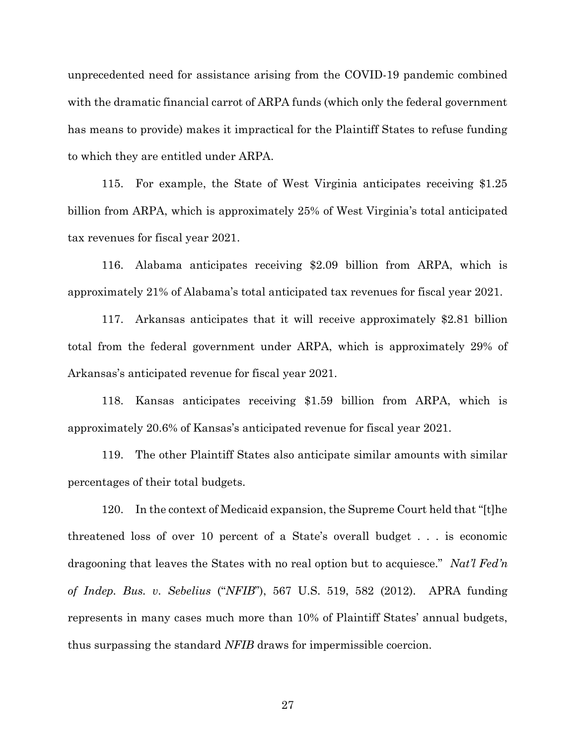unprecedented need for assistance arising from the COVID-19 pandemic combined with the dramatic financial carrot of ARPA funds (which only the federal government has means to provide) makes it impractical for the Plaintiff States to refuse funding to which they are entitled under ARPA.

115. For example, the State of West Virginia anticipates receiving \$1.25 billion from ARPA, which is approximately 25% of West Virginia's total anticipated tax revenues for fiscal year 2021.

116. Alabama anticipates receiving \$2.09 billion from ARPA, which is approximately 21% of Alabama's total anticipated tax revenues for fiscal year 2021.

117. Arkansas anticipates that it will receive approximately \$2.81 billion total from the federal government under ARPA, which is approximately 29% of Arkansas's anticipated revenue for fiscal year 2021.

118. Kansas anticipates receiving \$1.59 billion from ARPA, which is approximately 20.6% of Kansas's anticipated revenue for fiscal year 2021.

119. The other Plaintiff States also anticipate similar amounts with similar percentages of their total budgets.

120. In the context of Medicaid expansion, the Supreme Court held that "[t]he threatened loss of over 10 percent of a State's overall budget . . . is economic dragooning that leaves the States with no real option but to acquiesce." Nat'l Fed'n of Indep. Bus. v. Sebelius ("NFIB"), 567 U.S. 519, 582 (2012). APRA funding represents in many cases much more than 10% of Plaintiff States' annual budgets, thus surpassing the standard NFIB draws for impermissible coercion.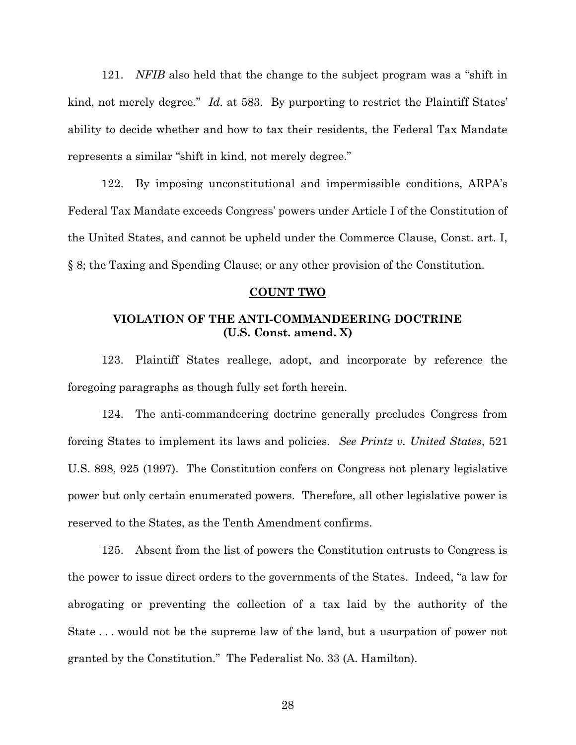121. NFIB also held that the change to the subject program was a "shift in kind, not merely degree." Id. at 583. By purporting to restrict the Plaintiff States' ability to decide whether and how to tax their residents, the Federal Tax Mandate represents a similar "shift in kind, not merely degree."

122. By imposing unconstitutional and impermissible conditions, ARPA's Federal Tax Mandate exceeds Congress' powers under Article I of the Constitution of the United States, and cannot be upheld under the Commerce Clause, Const. art. I, § 8; the Taxing and Spending Clause; or any other provision of the Constitution.

#### COUNT TWO

# VIOLATION OF THE ANTI-COMMANDEERING DOCTRINE (U.S. Const. amend. X)

123. Plaintiff States reallege, adopt, and incorporate by reference the foregoing paragraphs as though fully set forth herein.

124. The anti-commandeering doctrine generally precludes Congress from forcing States to implement its laws and policies. See Printz v. United States, 521 U.S. 898, 925 (1997). The Constitution confers on Congress not plenary legislative power but only certain enumerated powers. Therefore, all other legislative power is reserved to the States, as the Tenth Amendment confirms.

125. Absent from the list of powers the Constitution entrusts to Congress is the power to issue direct orders to the governments of the States. Indeed, "a law for abrogating or preventing the collection of a tax laid by the authority of the State . . . would not be the supreme law of the land, but a usurpation of power not granted by the Constitution." The Federalist No. 33 (A. Hamilton).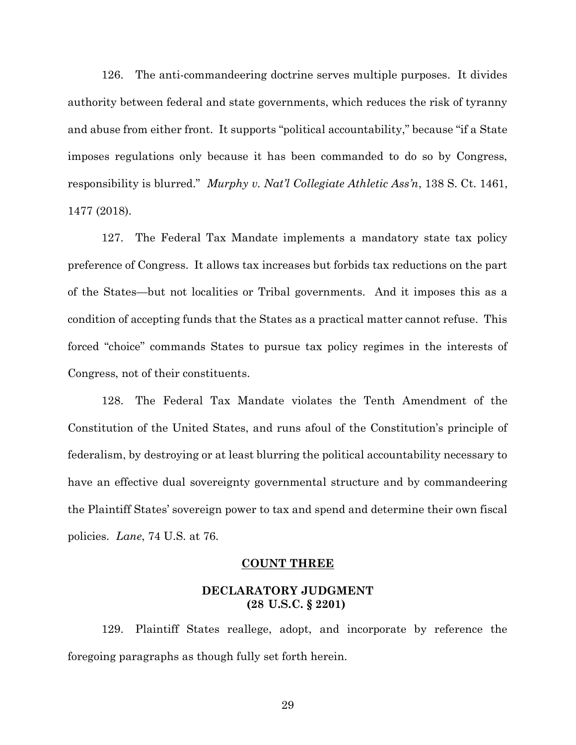126. The anti-commandeering doctrine serves multiple purposes. It divides authority between federal and state governments, which reduces the risk of tyranny and abuse from either front. It supports "political accountability," because "if a State imposes regulations only because it has been commanded to do so by Congress, responsibility is blurred." Murphy v. Nat'l Collegiate Athletic Ass'n, 138 S. Ct. 1461, 1477 (2018).

127. The Federal Tax Mandate implements a mandatory state tax policy preference of Congress. It allows tax increases but forbids tax reductions on the part of the States—but not localities or Tribal governments. And it imposes this as a condition of accepting funds that the States as a practical matter cannot refuse. This forced "choice" commands States to pursue tax policy regimes in the interests of Congress, not of their constituents.

128. The Federal Tax Mandate violates the Tenth Amendment of the Constitution of the United States, and runs afoul of the Constitution's principle of federalism, by destroying or at least blurring the political accountability necessary to have an effective dual sovereignty governmental structure and by commandeering the Plaintiff States' sovereign power to tax and spend and determine their own fiscal policies. Lane, 74 U.S. at 76.

#### COUNT THREE

### DECLARATORY JUDGMENT (28 U.S.C. § 2201)

129. Plaintiff States reallege, adopt, and incorporate by reference the foregoing paragraphs as though fully set forth herein.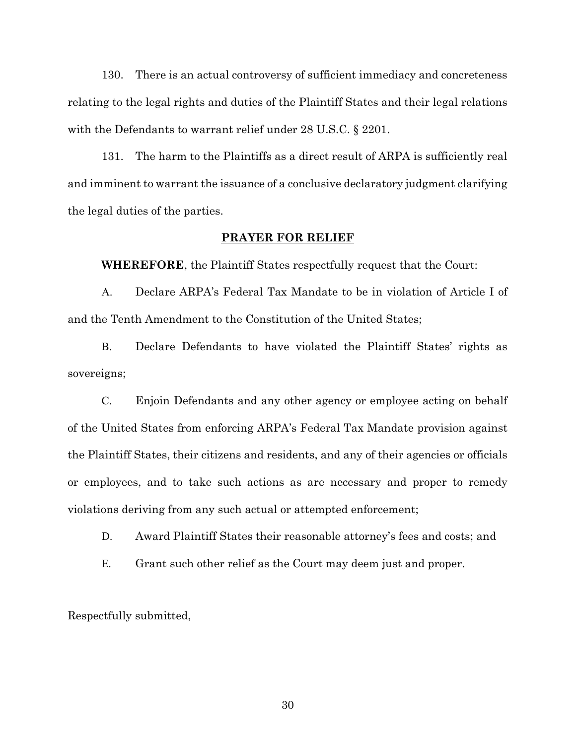130. There is an actual controversy of sufficient immediacy and concreteness relating to the legal rights and duties of the Plaintiff States and their legal relations with the Defendants to warrant relief under 28 U.S.C. § 2201.

131. The harm to the Plaintiffs as a direct result of ARPA is sufficiently real and imminent to warrant the issuance of a conclusive declaratory judgment clarifying the legal duties of the parties.

#### PRAYER FOR RELIEF

WHEREFORE, the Plaintiff States respectfully request that the Court:

A. Declare ARPA's Federal Tax Mandate to be in violation of Article I of and the Tenth Amendment to the Constitution of the United States;

B. Declare Defendants to have violated the Plaintiff States' rights as sovereigns;

C. Enjoin Defendants and any other agency or employee acting on behalf of the United States from enforcing ARPA's Federal Tax Mandate provision against the Plaintiff States, their citizens and residents, and any of their agencies or officials or employees, and to take such actions as are necessary and proper to remedy violations deriving from any such actual or attempted enforcement;

D. Award Plaintiff States their reasonable attorney's fees and costs; and

E. Grant such other relief as the Court may deem just and proper.

Respectfully submitted,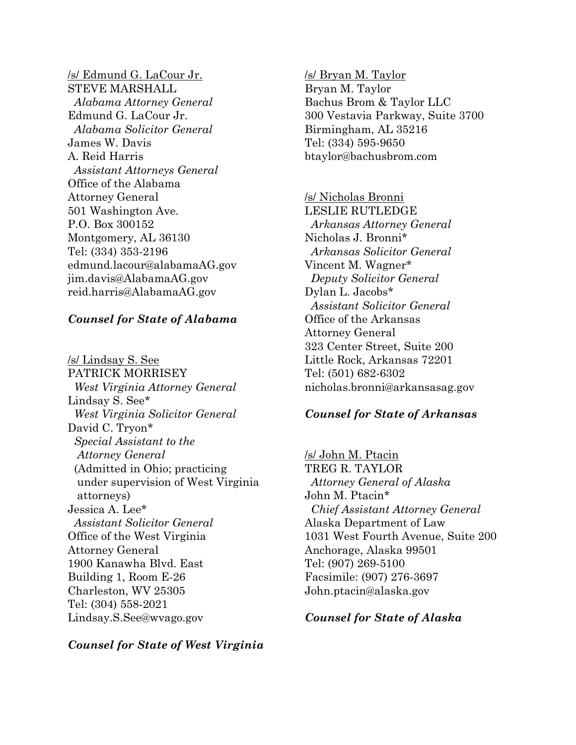/s/ Edmund G. LaCour Jr. STEVE MARSHALL Alabama Attorney General Edmund G. LaCour Jr. Alabama Solicitor General James W. Davis A. Reid Harris Assistant Attorneys General Office of the Alabama Attorney General 501 Washington Ave. P.O. Box 300152 Montgomery, AL 36130 Tel: (334) 353-2196 edmund.lacour@alabamaAG.gov jim.davis@AlabamaAG.gov reid.harris@AlabamaAG.gov

### Counsel for State of Alabama

/s/ Lindsay S. See PATRICK MORRISEY West Virginia Attorney General Lindsay S. See\* West Virginia Solicitor General David C. Tryon\* Special Assistant to the Attorney General (Admitted in Ohio; practicing under supervision of West Virginia attorneys) Jessica A. Lee\* Assistant Solicitor General Office of the West Virginia Attorney General 1900 Kanawha Blvd. East Building 1, Room E-26 Charleston, WV 25305 Tel: (304) 558-2021 Lindsay.S.See@wvago.gov

Counsel for State of West Virginia

/s/ Bryan M. Taylor Bryan M. Taylor Bachus Brom & Taylor LLC 300 Vestavia Parkway, Suite 3700 Birmingham, AL 35216 Tel: (334) 595-9650 btaylor@bachusbrom.com

/s/ Nicholas Bronni LESLIE RUTLEDGE Arkansas Attorney General Nicholas J. Bronni\* Arkansas Solicitor General Vincent M. Wagner\* Deputy Solicitor General Dylan L. Jacobs\* Assistant Solicitor General Office of the Arkansas Attorney General 323 Center Street, Suite 200 Little Rock, Arkansas 72201 Tel: (501) 682-6302 nicholas.bronni@arkansasag.gov

### Counsel for State of Arkansas

/s/ John M. Ptacin TREG R. TAYLOR Attorney General of Alaska John M. Ptacin\* Chief Assistant Attorney General Alaska Department of Law 1031 West Fourth Avenue, Suite 200 Anchorage, Alaska 99501 Tel: (907) 269-5100 Facsimile: (907) 276-3697 John.ptacin@alaska.gov

Counsel for State of Alaska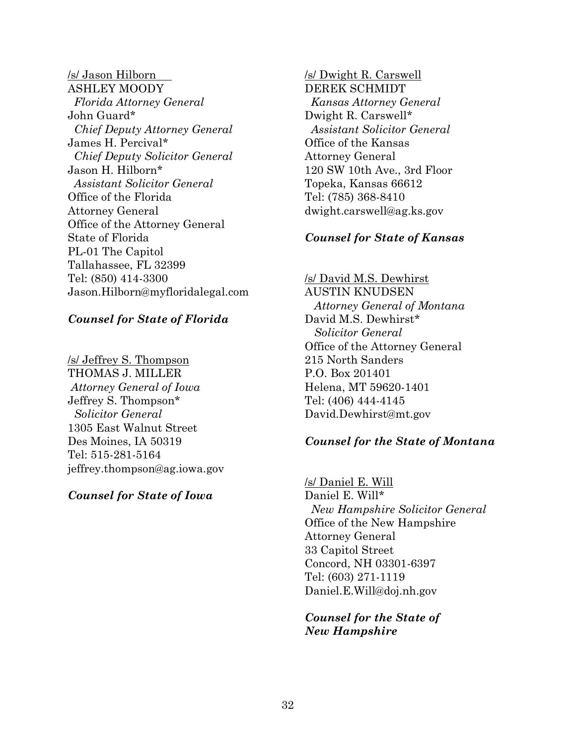/s/ Jason Hilborn ASHLEY MOODY Florida Attorney General John Guard\* Chief Deputy Attorney General James H. Percival\* Chief Deputy Solicitor General Jason H. Hilborn\* Assistant Solicitor General Office of the Florida Attorney General Office of the Attorney General State of Florida PL-01 The Capitol Tallahassee, FL 32399 Tel: (850) 414-3300 Jason.Hilborn@myfloridalegal.com

## Counsel for State of Florida

/s/ Jeffrey S. Thompson THOMAS J. MILLER Attorney General of Iowa Jeffrey S. Thompson\* Solicitor General 1305 East Walnut Street Des Moines, IA 50319 Tel: 515-281-5164 jeffrey.thompson@ag.iowa.gov

# Counsel for State of Iowa

/s/ Dwight R. Carswell DEREK SCHMIDT Kansas Attorney General Dwight R. Carswell\* Assistant Solicitor General Office of the Kansas Attorney General 120 SW 10th Ave., 3rd Floor Topeka, Kansas 66612 Tel: (785) 368-8410 dwight.carswell@ag.ks.gov

# Counsel for State of Kansas

# /s/ David M.S. Dewhirst

AUSTIN KNUDSEN Attorney General of Montana David M.S. Dewhirst\* Solicitor General Office of the Attorney General 215 North Sanders P.O. Box 201401 Helena, MT 59620-1401 Tel: (406) 444-4145 David.Dewhirst@mt.gov

# Counsel for the State of Montana

/s/ Daniel E. Will Daniel E. Will\* New Hampshire Solicitor General Office of the New Hampshire Attorney General 33 Capitol Street Concord, NH 03301-6397 Tel: (603) 271-1119 Daniel.E.Will@doj.nh.gov

Counsel for the State of New Hampshire